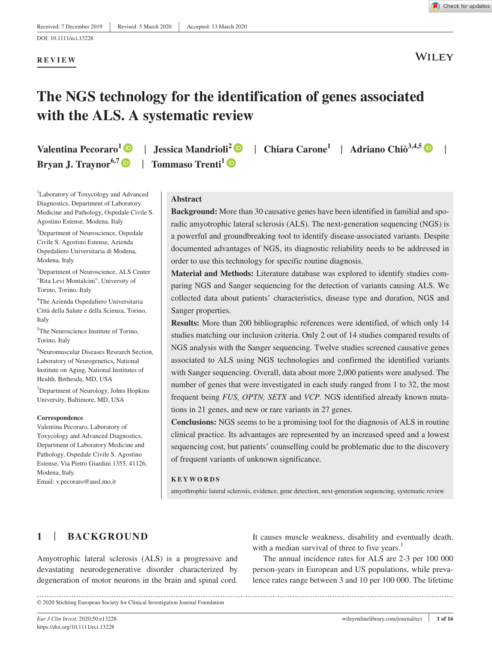**REVIEW**

**WILEY** 

# **The NGS technology for the identification of genes associated with the ALS. A systematic review**

**Valentina Pecoraro[1](https://orcid.org/0000-0002-1800-0936)** | **Jessica Mandrioli<sup>2</sup>** | **Chiara Carone<sup>1</sup>** | **Adriano Chiò3,4,5** | **Bryan J. Traynor**<sup>6,7</sup> **D** | Tommaso Trenti<sup>[1](https://orcid.org/0000-0001-8093-4011)</sup> **D** 

1 Laboratory of Toxycology and Advanced Diagnostics, Department of Laboratory Medicine and Pathology, Ospedale Civile S. Agostino Estense, Modena, Italy

<sup>2</sup>Department of Neuroscience, Ospedale Civile S. Agostino Estense, Azienda Ospedaliero Universitaria di Modena, Modena, Italy

3 Department of Neuroscience, ALS Center "Rita Levi Montalcini", University of Torino, Torino, Italy

4 The Azienda Ospedaliero Universitaria Città della Salute e della Scienza, Torino, Italy

5 The Neuroscience Institute of Torino, Torino, Italy

6 Neuromuscular Diseases Research Section, Laboratory of Neurogenetics, National Institute on Aging, National Institutes of Health, Bethesda, MD, USA

7 Department of Neurology, Johns Hopkins University, Baltimore, MD, USA

#### **Correspondence**

Valentina Pecoraro, Laboratory of Toxycology and Advanced Diagnostics, Department of Laboratory Medicine and Pathology, Ospedale Civile S. Agostino Estense, Via Pietro Giardini 1355, 41126, Modena, Italy.

Email: [v.pecoraro@ausl.mo.it](mailto:v.pecoraro@ausl.mo.it)

#### **Abstract**

**Background:** More than 30 causative genes have been identified in familial and sporadic amyotrophic lateral sclerosis (ALS). The next-generation sequencing (NGS) is a powerful and groundbreaking tool to identify disease-associated variants. Despite documented advantages of NGS, its diagnostic reliability needs to be addressed in order to use this technology for specific routine diagnosis.

**Material and Methods:** Literature database was explored to identify studies comparing NGS and Sanger sequencing for the detection of variants causing ALS. We collected data about patients' characteristics, disease type and duration, NGS and Sanger properties.

**Results:** More than 200 bibliographic references were identified, of which only 14 studies matching our inclusion criteria. Only 2 out of 14 studies compared results of NGS analysis with the Sanger sequencing. Twelve studies screened causative genes associated to ALS using NGS technologies and confirmed the identified variants with Sanger sequencing. Overall, data about more 2,000 patients were analysed. The number of genes that were investigated in each study ranged from 1 to 32, the most frequent being *FUS, OPTN, SETX* and *VCP.* NGS identified already known mutations in 21 genes, and new or rare variants in 27 genes.

**Conclusions:** NGS seems to be a promising tool for the diagnosis of ALS in routine clinical practice. Its advantages are represented by an increased speed and a lowest sequencing cost, but patients' counselling could be problematic due to the discovery of frequent variants of unknown significance.

#### **KEYWORDS**

amyothrophic lateral sclerosis, evidence, gene detection, next-generation sequencing, systematic review

# **1** | **BACKGROUND**

Amyotrophic lateral sclerosis (ALS) is a progressive and devastating neurodegenerative disorder characterized by degeneration of motor neurons in the brain and spinal cord.

It causes muscle weakness, disability and eventually death, with a median survival of three to five years.<sup>1</sup>

The annual incidence rates for ALS are 2-3 per 100 000 person-years in European and US populations, while prevalence rates range between 3 and 10 per 100 000. The lifetime

© 2020 Stichting European Society for Clinical Investigation Journal Foundation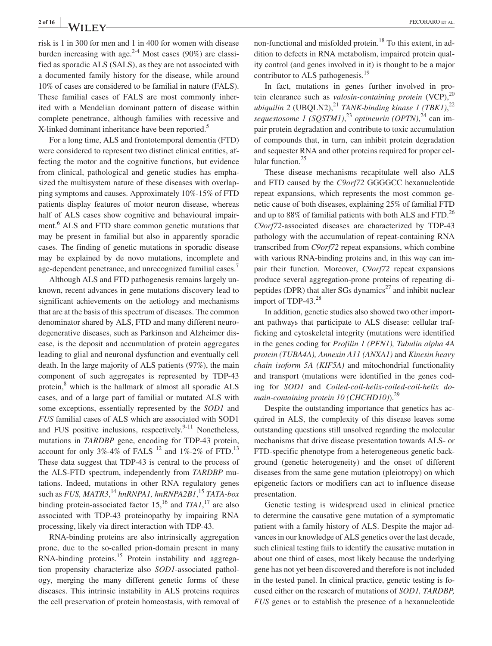risk is 1 in 300 for men and 1 in 400 for women with disease burden increasing with age. $2^{-4}$  Most cases (90%) are classified as sporadic ALS (SALS), as they are not associated with a documented family history for the disease, while around 10% of cases are considered to be familial in nature (FALS). These familial cases of FALS are most commonly inherited with a Mendelian dominant pattern of disease within complete penetrance, although families with recessive and X-linked dominant inheritance have been reported.<sup>5</sup>

For a long time, ALS and frontotemporal dementia (FTD) were considered to represent two distinct clinical entities, affecting the motor and the cognitive functions, but evidence from clinical, pathological and genetic studies has emphasized the multisystem nature of these diseases with overlapping symptoms and causes. Approximately 10%-15% of FTD patients display features of motor neuron disease, whereas half of ALS cases show cognitive and behavioural impairment.<sup>6</sup> ALS and FTD share common genetic mutations that may be present in familial but also in apparently sporadic cases. The finding of genetic mutations in sporadic disease may be explained by de novo mutations, incomplete and age-dependent penetrance, and unrecognized familial cases.<sup>7</sup>

Although ALS and FTD pathogenesis remains largely unknown, recent advances in gene mutations discovery lead to significant achievements on the aetiology and mechanisms that are at the basis of this spectrum of diseases. The common denominator shared by ALS, FTD and many different neurodegenerative diseases, such as Parkinson and Alzheimer disease, is the deposit and accumulation of protein aggregates leading to glial and neuronal dysfunction and eventually cell death. In the large majority of ALS patients (97%), the main component of such aggregates is represented by TDP-43 protein,<sup>8</sup> which is the hallmark of almost all sporadic ALS cases, and of a large part of familial or mutated ALS with some exceptions, essentially represented by the *SOD1* and *FUS* familial cases of ALS which are associated with SOD1 and FUS positive inclusions, respectively.<sup>9-11</sup> Nonetheless, mutations in *TARDBP* gene, encoding for TDP-43 protein, account for only 3%-4% of FALS  $^{12}$  and 1%-2% of FTD.<sup>13</sup> These data suggest that TDP-43 is central to the process of the ALS-FTD spectrum, independently from *TARDBP* mutations. Indeed, mutations in other RNA regulatory genes such as *FUS, MATR3*, <sup>14</sup> *hnRNPA1, hnRNPA2B1*, <sup>15</sup> *TATA-box* binding protein-associated factor  $15<sup>16</sup>$  and  $TIAI<sup>17</sup>$  are also associated with TDP-43 proteinopathy by impairing RNA processing, likely via direct interaction with TDP-43.

RNA-binding proteins are also intrinsically aggregation prone, due to the so-called prion-domain present in many RNA-binding proteins.<sup>15</sup> Protein instability and aggregation propensity characterize also *SOD1*-associated pathology, merging the many different genetic forms of these diseases. This intrinsic instability in ALS proteins requires the cell preservation of protein homeostasis, with removal of non-functional and misfolded protein.<sup>18</sup> To this extent, in addition to defects in RNA metabolism, impaired protein quality control (and genes involved in it) is thought to be a major contributor to ALS pathogenesis.<sup>19</sup>

In fact, mutations in genes further involved in protein clearance such as *valosin-containing protein* (VCP),<sup>20</sup> ubiquilin 2 (UBQLN2),<sup>21</sup> *TANK-binding kinase 1 (TBK1)*,<sup>22</sup> *sequestosome 1 (SQSTM1)*, <sup>23</sup> *optineurin (OPTN)*, 24 can impair protein degradation and contribute to toxic accumulation of compounds that, in turn, can inhibit protein degradation and sequester RNA and other proteins required for proper cellular function.<sup>25</sup>

These disease mechanisms recapitulate well also ALS and FTD caused by the *C9orf72* GGGGCC hexanucleotide repeat expansions, which represents the most common genetic cause of both diseases, explaining 25% of familial FTD and up to 88% of familial patients with both ALS and FTD.<sup>26</sup> *C9orf72*-associated diseases are characterized by TDP-43 pathology with the accumulation of repeat-containing RNA transcribed from *C9orf72* repeat expansions, which combine with various RNA-binding proteins and, in this way can impair their function. Moreover, *C9orf72* repeat expansions produce several aggregation-prone proteins of repeating dipeptides (DPR) that alter SGs dynamics<sup>27</sup> and inhibit nuclear import of TDP-43. $^{28}$ 

In addition, genetic studies also showed two other important pathways that participate to ALS disease: cellular trafficking and cytoskeletal integrity (mutations were identified in the genes coding for *Profilin 1 (PFN1), Tubulin alpha 4A protein (TUBA4A), Annexin A11 (ANXA1)* and *Kinesin heavy chain isoform 5A (KIF5A)* and mitochondrial functionality and transport (mutations were identified in the genes coding for *SOD1* and *Coiled-coil-helix-coiled-coil-helix domain-containing protein 10 (CHCHD10)*).<sup>29</sup>

Despite the outstanding importance that genetics has acquired in ALS, the complexity of this disease leaves some outstanding questions still unsolved regarding the molecular mechanisms that drive disease presentation towards ALS- or FTD-specific phenotype from a heterogeneous genetic background (genetic heterogeneity) and the onset of different diseases from the same gene mutation (pleiotropy) on which epigenetic factors or modifiers can act to influence disease presentation.

Genetic testing is widespread used in clinical practice to determine the causative gene mutation of a symptomatic patient with a family history of ALS. Despite the major advances in our knowledge of ALS genetics over the last decade, such clinical testing fails to identify the causative mutation in about one third of cases, most likely because the underlying gene has not yet been discovered and therefore is not included in the tested panel. In clinical practice, genetic testing is focused either on the research of mutations of *SOD1, TARDBP, FUS* genes or to establish the presence of a hexanucleotide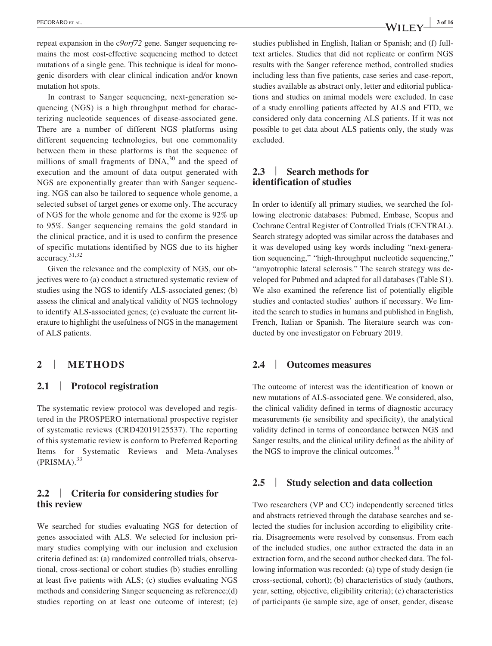repeat expansion in the c*9orf72* gene. Sanger sequencing remains the most cost-effective sequencing method to detect mutations of a single gene. This technique is ideal for monogenic disorders with clear clinical indication and/or known mutation hot spots.

In contrast to Sanger sequencing, next-generation sequencing (NGS) is a high throughput method for characterizing nucleotide sequences of disease-associated gene. There are a number of different NGS platforms using different sequencing technologies, but one commonality between them in these platforms is that the sequence of millions of small fragments of  $DNA<sub>1</sub><sup>30</sup>$  and the speed of execution and the amount of data output generated with NGS are exponentially greater than with Sanger sequencing. NGS can also be tailored to sequence whole genome, a selected subset of target genes or exome only. The accuracy of NGS for the whole genome and for the exome is 92% up to 95%. Sanger sequencing remains the gold standard in the clinical practice, and it is used to confirm the presence of specific mutations identified by NGS due to its higher accuracy.31,32

Given the relevance and the complexity of NGS, our objectives were to (a) conduct a structured systematic review of studies using the NGS to identify ALS-associated genes; (b) assess the clinical and analytical validity of NGS technology to identify ALS-associated genes; (c) evaluate the current literature to highlight the usefulness of NGS in the management of ALS patients.

## **2** | **METHODS**

## **2.1** | **Protocol registration**

The systematic review protocol was developed and registered in the PROSPERO international prospective register of systematic reviews (CRD42019125537). The reporting of this systematic review is conform to Preferred Reporting Items for Systematic Reviews and Meta-Analyses  $(PRISMA).$ <sup>33</sup>

## **2.2** | **Criteria for considering studies for this review**

We searched for studies evaluating NGS for detection of genes associated with ALS. We selected for inclusion primary studies complying with our inclusion and exclusion criteria defined as: (a) randomized controlled trials, observational, cross-sectional or cohort studies (b) studies enrolling at least five patients with ALS; (c) studies evaluating NGS methods and considering Sanger sequencing as reference;(d) studies reporting on at least one outcome of interest; (e) studies published in English, Italian or Spanish; and (f) fulltext articles. Studies that did not replicate or confirm NGS results with the Sanger reference method, controlled studies including less than five patients, case series and case-report, studies available as abstract only, letter and editorial publications and studies on animal models were excluded. In case of a study enrolling patients affected by ALS and FTD, we considered only data concerning ALS patients. If it was not possible to get data about ALS patients only, the study was excluded.

## **2.3** | **Search methods for identification of studies**

In order to identify all primary studies, we searched the following electronic databases: Pubmed, Embase, Scopus and Cochrane Central Register of Controlled Trials (CENTRAL). Search strategy adopted was similar across the databases and it was developed using key words including "next-generation sequencing," "high-throughput nucleotide sequencing," "amyotrophic lateral sclerosis." The search strategy was developed for Pubmed and adapted for all databases (Table S1). We also examined the reference list of potentially eligible studies and contacted studies' authors if necessary. We limited the search to studies in humans and published in English, French, Italian or Spanish. The literature search was conducted by one investigator on February 2019.

## **2.4** | **Outcomes measures**

The outcome of interest was the identification of known or new mutations of ALS-associated gene. We considered, also, the clinical validity defined in terms of diagnostic accuracy measurements (ie sensibility and specificity), the analytical validity defined in terms of concordance between NGS and Sanger results, and the clinical utility defined as the ability of the NGS to improve the clinical outcomes.<sup>34</sup>

#### **2.5** | **Study selection and data collection**

Two researchers (VP and CC) independently screened titles and abstracts retrieved through the database searches and selected the studies for inclusion according to eligibility criteria. Disagreements were resolved by consensus. From each of the included studies, one author extracted the data in an extraction form, and the second author checked data. The following information was recorded: (a) type of study design (ie cross-sectional, cohort); (b) characteristics of study (authors, year, setting, objective, eligibility criteria); (c) characteristics of participants (ie sample size, age of onset, gender, disease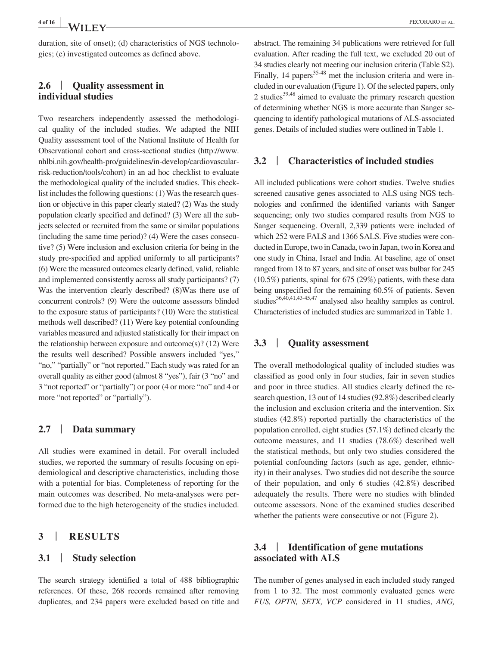duration, site of onset); (d) characteristics of NGS technologies; (e) investigated outcomes as defined above.

### **2.6** | **Quality assessment in individual studies**

Two researchers independently assessed the methodological quality of the included studies. We adapted the NIH Quality assessment tool of the National Institute of Health for Observational cohort and cross-sectional studies [\(http://www.](http://www.nhlbi.nih.gov/health-pro/guidelines/in-develop/cardiovascular-risk-reduction/tools/cohort) [nhlbi.nih.gov/health-pro/guidelines/in-develop/cardiovascular](http://www.nhlbi.nih.gov/health-pro/guidelines/in-develop/cardiovascular-risk-reduction/tools/cohort)[risk-reduction/tools/cohort](http://www.nhlbi.nih.gov/health-pro/guidelines/in-develop/cardiovascular-risk-reduction/tools/cohort)) in an ad hoc checklist to evaluate the methodological quality of the included studies. This checklist includes the following questions: (1) Was the research question or objective in this paper clearly stated? (2) Was the study population clearly specified and defined? (3) Were all the subjects selected or recruited from the same or similar populations (including the same time period)? (4) Were the cases consecutive? (5) Were inclusion and exclusion criteria for being in the study pre-specified and applied uniformly to all participants? (6) Were the measured outcomes clearly defined, valid, reliable and implemented consistently across all study participants? (7) Was the intervention clearly described? (8)Was there use of concurrent controls? (9) Were the outcome assessors blinded to the exposure status of participants? (10) Were the statistical methods well described? (11) Were key potential confounding variables measured and adjusted statistically for their impact on the relationship between exposure and outcome(s)? (12) Were the results well described? Possible answers included "yes," "no," "partially" or "not reported." Each study was rated for an overall quality as either good (almost 8 "yes"), fair (3 "no" and 3 "not reported" or "partially") or poor (4 or more "no" and 4 or more "not reported" or "partially").

## **2.7** | **Data summary**

All studies were examined in detail. For overall included studies, we reported the summary of results focusing on epidemiological and descriptive characteristics, including those with a potential for bias. Completeness of reporting for the main outcomes was described. No meta-analyses were performed due to the high heterogeneity of the studies included.

#### **3** | **RESULTS**

#### **3.1** | **Study selection**

The search strategy identified a total of 488 bibliographic references. Of these, 268 records remained after removing duplicates, and 234 papers were excluded based on title and abstract. The remaining 34 publications were retrieved for full evaluation. After reading the full text, we excluded 20 out of 34 studies clearly not meeting our inclusion criteria (Table S2). Finally, 14 papers<sup>35-48</sup> met the inclusion criteria and were included in our evaluation (Figure 1). Of the selected papers, only 2 studies<sup>39,48</sup> aimed to evaluate the primary research question of determining whether NGS is more accurate than Sanger sequencing to identify pathological mutations of ALS-associated genes. Details of included studies were outlined in Table 1.

#### **3.2** | **Characteristics of included studies**

All included publications were cohort studies. Twelve studies screened causative genes associated to ALS using NGS technologies and confirmed the identified variants with Sanger sequencing; only two studies compared results from NGS to Sanger sequencing. Overall, 2,339 patients were included of which 252 were FALS and 1366 SALS. Five studies were conducted in Europe, two in Canada, two in Japan, two in Korea and one study in China, Israel and India. At baseline, age of onset ranged from 18 to 87 years, and site of onset was bulbar for 245 (10.5%) patients, spinal for 675 (29%) patients, with these data being unspecified for the remaining 60.5% of patients. Seven studies<sup>36,40,41,43-45,47</sup> analysed also healthy samples as control. Characteristics of included studies are summarized in Table 1.

## **3.3** | **Quality assessment**

The overall methodological quality of included studies was classified as good only in four studies, fair in seven studies and poor in three studies. All studies clearly defined the research question, 13 out of 14 studies (92.8%) described clearly the inclusion and exclusion criteria and the intervention. Six studies (42.8%) reported partially the characteristics of the population enrolled, eight studies (57.1%) defined clearly the outcome measures, and 11 studies (78.6%) described well the statistical methods, but only two studies considered the potential confounding factors (such as age, gender, ethnicity) in their analyses. Two studies did not describe the source of their population, and only 6 studies (42.8%) described adequately the results. There were no studies with blinded outcome assessors. None of the examined studies described whether the patients were consecutive or not (Figure 2).

## **3.4** | **Identification of gene mutations associated with ALS**

The number of genes analysed in each included study ranged from 1 to 32. The most commonly evaluated genes were *FUS, OPTN, SETX, VCP* considered in 11 studies, *ANG,*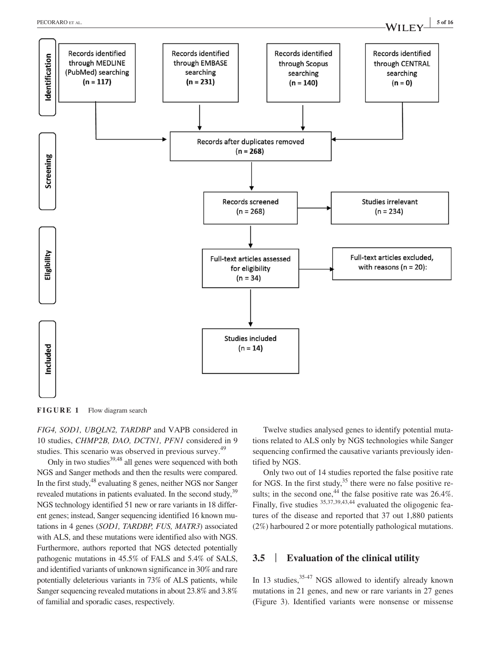

**FIGURE 1** Flow diagram search

*FIG4, SOD1, UBQLN2, TARDBP* and VAPB considered in 10 studies, *CHMP2B, DAO, DCTN1, PFN1* considered in 9 studies. This scenario was observed in previous survey.<sup>49</sup>

Only in two studies<sup>39,48</sup> all genes were sequenced with both NGS and Sanger methods and then the results were compared. In the first study, <sup>48</sup> evaluating 8 genes, neither NGS nor Sanger revealed mutations in patients evaluated. In the second study,<sup>39</sup> NGS technology identified 51 new or rare variants in 18 different genes; instead, Sanger sequencing identified 16 known mutations in 4 genes (*SOD1, TARDBP, FUS, MATR3*) associated with ALS, and these mutations were identified also with NGS. Furthermore, authors reported that NGS detected potentially pathogenic mutations in 45.5% of FALS and 5.4% of SALS, and identified variants of unknown significance in 30% and rare potentially deleterious variants in 73% of ALS patients, while Sanger sequencing revealed mutations in about 23.8% and 3.8% of familial and sporadic cases, respectively.

Twelve studies analysed genes to identify potential mutations related to ALS only by NGS technologies while Sanger sequencing confirmed the causative variants previously identified by NGS.

Only two out of 14 studies reported the false positive rate for NGS. In the first study,  $35$  there were no false positive results; in the second one,<sup>44</sup> the false positive rate was  $26.4\%$ . Finally, five studies <sup>35,37,39,43,44</sup> evaluated the oligogenic features of the disease and reported that 37 out 1,880 patients (2%) harboured 2 or more potentially pathological mutations.

## **3.5** | **Evaluation of the clinical utility**

In 13 studies,  $35-47$  NGS allowed to identify already known mutations in 21 genes, and new or rare variants in 27 genes (Figure 3). Identified variants were nonsense or missense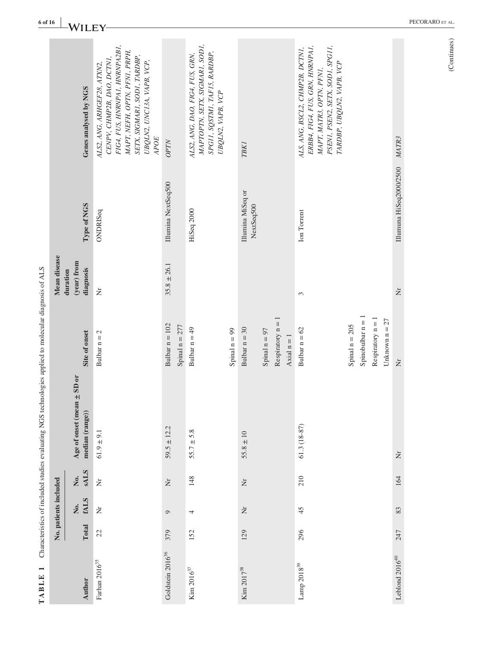| $\overline{\phantom{0}}$<br>TABLE |       |                       |                    | Characteristics of included studies evaluating NGS technologies applied to molecular diagnosis of ALS |                                                                                  |                          |                                 |                                                                                                                                                                                                    |
|-----------------------------------|-------|-----------------------|--------------------|-------------------------------------------------------------------------------------------------------|----------------------------------------------------------------------------------|--------------------------|---------------------------------|----------------------------------------------------------------------------------------------------------------------------------------------------------------------------------------------------|
|                                   |       | No. patients included |                    |                                                                                                       |                                                                                  | Mean disease<br>duration |                                 |                                                                                                                                                                                                    |
| Author                            | Total | <b>fALS</b><br>Ż.     | <b>SALS</b><br>Χo. | $\pm$ SD or<br>Age of onset (mean<br>median (range))                                                  | Site of onset                                                                    | (year) from<br>diagnosis | Type of NGS                     | Genes analysed by NGS                                                                                                                                                                              |
| Farhan $2016^{35}\,$              | 22    | Ż                     | $\breve{\simeq}$   | $61.9 \pm 9.1$                                                                                        | Bulbar $n = 2$                                                                   | $\dot{\Xi}$              | ONDRISeq                        | FIG4, FUS, HNRNPA1, HNRNPA2B1,<br>MAPT, NEFH, OPTN, PFN1, PRPH,<br>SETX, SIGMARI, SODI, TARDBP,<br>CENPV, CHMP2B, DAO, DCTN1,<br>UBQLN2, UNC13A, VAPB, VCP,<br>ALS2, ANG, ARHGEF28, ATXN2,<br>APOE |
| Goldstein 2016 <sup>36</sup>      | 379   | $\circ$               | $\dot{\Sigma}$     | $59.5 \pm 12.2$                                                                                       | Bulbar $n = 102$<br>Spinal $n = 277$                                             | $35.8 \pm 26.1$          | Illumina NextSeq500             | OPTN                                                                                                                                                                                               |
| Kim $2016^{37}$                   | 152   | 4                     | 148                | $55.7 \pm 5.8$                                                                                        | Bulbar $n = 49$                                                                  |                          | HiSeq 2000                      | MAPTOPTN, SETX, SIGMARI, SODI,<br>SPG11, SQSTM1, TAF15, RARDBP,<br>ALS2, ANG, DAO, FIG4, FUS, GRN,<br>UBQLN2, VAPB, VCP                                                                            |
|                                   |       |                       |                    |                                                                                                       | Spinal $n = 99$                                                                  |                          |                                 |                                                                                                                                                                                                    |
| Kim 2017 <sup>38</sup>            | 129   | $\dot{\Xi}$           | $\dot{\Xi}$        | $55.8 \pm 10$                                                                                         | Bulbar $n = 30$                                                                  |                          | Illumina MiSeq or<br>NextSeq500 | <b>TBK1</b>                                                                                                                                                                                        |
|                                   |       |                       |                    |                                                                                                       | Respiratory $n = 1$<br>Spinal $n = 97$<br>Axial $n = 1$                          |                          |                                 |                                                                                                                                                                                                    |
| Lamp $2018^{39}$                  | 296   | 45                    | 210                | $61.3(18-87)$                                                                                         | Bulbar $n = 62$                                                                  | 3                        | Ion Torrent                     | ERBB4, FIG4, FUS, GRN, HNRNPA1,<br>PSEN1, PSEN2, SETX, SOD1, SPG11,<br>ALS, ANG, BSCL2, CHMP2B, DCTN1,<br>TARDBP, UBQLN2, VAPB, VCP<br>MAPT, MATR3, OPTN, PFN1,                                    |
|                                   |       |                       |                    |                                                                                                       | Respiratory $n = 1$<br>Unknown $n = 27$<br>$Spinobulbar n =$<br>Spinal $n = 205$ |                          |                                 |                                                                                                                                                                                                    |
| Leblond $2016^{40}$               | 247   | 83                    | 164                | $\dot{\Xi}$                                                                                           | $\dot{\Xi}$                                                                      | Ż                        | Illumuna HiSeq2000/2500         | MATR3                                                                                                                                                                                              |
|                                   |       |                       |                    |                                                                                                       |                                                                                  |                          |                                 |                                                                                                                                                                                                    |

**TABLE 1** Characteristics of included studies evaluating NGS technologies applied to molecular diagnosis of ALS  $\overline{a}$ -A Ċ  $\div$ **NICS**  $\overline{a}$ Ŕ ÷, Į.  $\ddot{\cdot}$ J. l, ් TARLE<sub>1</sub>

 $(Continuous)$ (Continues)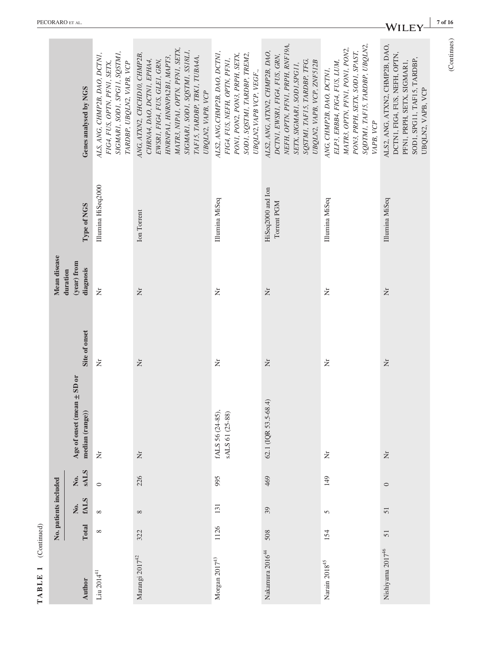|                       |          | No. patients included        |                                  |                                                   |                    | Mean disease                         |            |
|-----------------------|----------|------------------------------|----------------------------------|---------------------------------------------------|--------------------|--------------------------------------|------------|
| <b>Author</b>         |          | Total fALS<br>$\overline{R}$ | <b>SALS</b><br>$\overline{N}$ o. | Age of onset (mean $\pm$ SD or<br>median (range)) | Site of onset      | (year) from<br>diagnosis<br>duration | Type of N  |
| $\rm Lin$ $2014^{41}$ | $\infty$ | $\infty$                     | $\circ$                          | Ż                                                 | Ż                  | Ż                                    | Illumina F |
| Marangi $2017^{42}$   | 322      | $\infty$                     | 226                              | $\dot{\bar{z}}$                                   | Ż                  | $\dot{\Xi}$                          | Ion Torrer |
| Morgan 2017 $43$      | 1126 131 |                              | 995                              | fALS 56 (24-85),<br>sALS 61 (25-88)               | $\dot{\mathsf{z}}$ | Ż                                    | Illumina N |

|                 |                       | Genes analysed by NGS                             | SIGMARI, SODI, SPGII, SQSTMI,<br>ALS, ANG, CHMP2B, DAO, DCTN1,<br>TARDBP, UBQLN2, VAPB, VCP<br>FIG4, FUS, OPTN, PFN1, SETX, | MATR3, NIPA1, OPTN, PFN1, SETX<br>SIGMARI, SODI, SQSTMI, SSI8LI,<br>ANG, ATXN2, CHCHD10, CHMP2B,<br>TAFIS, TARDBP, TBKI, TUBAA,<br>HNRNPA1, HNRNPA2B1, MAPT3,<br>CHRNA4, DAO, DCTN1, EPHA4,<br>EWSR1, FIG4, FUS, GLE1, GRN,<br>UBQLN2, VAPB, VCP | ALS2, ANG, CHMP2B, DAO, DCTN1,<br>SODI, SQSTMI, TARDBP, TREM2,<br>PONI, PON2, PON3, PRPH, SETX,<br>FIG4, FUS, NEFH, OPTN, PFN1,<br>UBQLN2, VAPB VCP, VEGF., | NEFH, OPTN, PFNI, PRPH, RNF19A,<br>ALS2, ANG, ATXN2, CHMP2B, DAO,<br>DCTN1, EWSR1, FIG4, FUS, GRN,<br>SQSTM1, TAF15, TARDBP, TFG,<br>UBQLN2, VAPB, VCP, ZNF512B<br>SETX, SIGMAR1, SOD1, SPG11, | SQDTMI, TAFI5, TARDBP, UBQLN2,<br>MATR3, OPTN, PFN1, PON1, PON2,<br>PON3, PRPH, SETX, SOD1, SPAST,<br>ELP3, ERBB4, FIG4, FUS, LUM,<br>ANG, CHMP2B, DAO, DCTN1,<br>VAPB, VCP | ALS2, ANG, ATXN2, CHMP2B, DAO,<br>DCTN1, FIG4, FUS, NEFH, OPTN,<br>SOD1, SPG11, TAF15, TARDBP,<br>PFN1, PRPH, SETX, SIGMAR1,<br>UBQLN2, VAPB, VCP | (Continues) |
|-----------------|-----------------------|---------------------------------------------------|-----------------------------------------------------------------------------------------------------------------------------|--------------------------------------------------------------------------------------------------------------------------------------------------------------------------------------------------------------------------------------------------|-------------------------------------------------------------------------------------------------------------------------------------------------------------|------------------------------------------------------------------------------------------------------------------------------------------------------------------------------------------------|-----------------------------------------------------------------------------------------------------------------------------------------------------------------------------|---------------------------------------------------------------------------------------------------------------------------------------------------|-------------|
|                 |                       | Type of NGS                                       | Illumina HiSeq2000                                                                                                          | Ion Torrent                                                                                                                                                                                                                                      | Illumina MiSeq                                                                                                                                              | HiSeq2000 and Ion<br>Torrent PGM                                                                                                                                                               | Illumina MiSeq                                                                                                                                                              | Illumina MiSeq                                                                                                                                    |             |
|                 | Mean disease          | (year) from<br>diagnosis<br>duration              | Ż                                                                                                                           | Ż                                                                                                                                                                                                                                                | Ż                                                                                                                                                           | $\dot{\Xi}$                                                                                                                                                                                    | Ż                                                                                                                                                                           | Ż                                                                                                                                                 |             |
|                 |                       | Site of onset                                     | Ż                                                                                                                           | $\dot{\Xi}$                                                                                                                                                                                                                                      | Ż                                                                                                                                                           | $\dot{\Xi}$                                                                                                                                                                                    | Ż                                                                                                                                                                           | Ż                                                                                                                                                 |             |
|                 |                       | Age of onset (mean $\pm$ SD or<br>median (range)) | Ż                                                                                                                           | $\dot{\mathsf{z}}$                                                                                                                                                                                                                               | fALS 56 (24-85),<br>sALS 61 (25-88)                                                                                                                         | 62.1 (IQR 53.5-68.4)                                                                                                                                                                           | $\dot{\Xi}$                                                                                                                                                                 | $\dot{\Xi}$                                                                                                                                       |             |
|                 |                       | No.<br>SALS                                       | $\circ$                                                                                                                     | 226                                                                                                                                                                                                                                              | 995                                                                                                                                                         | 469                                                                                                                                                                                            | 149                                                                                                                                                                         | $\circ$                                                                                                                                           |             |
|                 | No. patients included | fALS<br>Σó.                                       | $\infty$                                                                                                                    | ${}^{\infty}$                                                                                                                                                                                                                                    | 131                                                                                                                                                         | 39                                                                                                                                                                                             | $\overline{5}$                                                                                                                                                              | 51                                                                                                                                                |             |
| (Continued)     |                       | Total                                             | $\infty$                                                                                                                    | 322                                                                                                                                                                                                                                              | 1126                                                                                                                                                        | 508                                                                                                                                                                                            | 154                                                                                                                                                                         | 51                                                                                                                                                |             |
| $\Gamma$ ABLE 1 |                       | Author                                            | Liu $2014^{41}$                                                                                                             | Marangi $2017^{42}$                                                                                                                                                                                                                              | Morgan 2017 $^{43}$                                                                                                                                         | Nakamura 2016 $\rm ^{44}$                                                                                                                                                                      | Narain $2018^{45}\,$                                                                                                                                                        | Nishiyama 2017 <sup>46</sup>                                                                                                                      |             |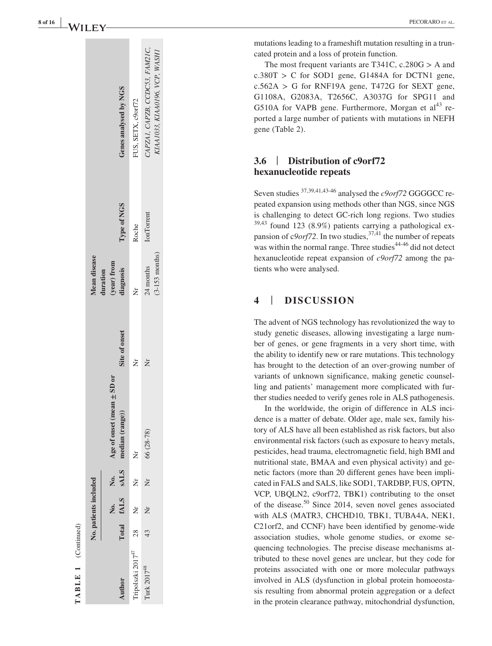|                                           | No. patients included |                                                            |               | Mean disease     |                   |                                |
|-------------------------------------------|-----------------------|------------------------------------------------------------|---------------|------------------|-------------------|--------------------------------|
|                                           |                       |                                                            |               | duration         |                   |                                |
|                                           |                       | Age of onset (mean $\pm$ SD or                             |               | (year) from      |                   |                                |
| Author                                    |                       | No. No. Age of onset (me<br>Total fALS sALS median (range) | Site of onset | <b>liagnosis</b> | Type of NGS       | Genes analysed by NGS          |
| Fripolszki 2017 <sup>47</sup> 28 Nr Nr Nr |                       |                                                            |               | ż                | Roche             | FUS, SETX, c9orf72             |
| Turk 2017 <sup>48</sup>                   |                       | 43 Nr Nr 66 (28-78)                                        | ž             | 24 months        | <b>IonTorrent</b> | CAPZAI, CAPZB, CCDC53, FAM21C, |
|                                           |                       |                                                            |               | $(3-153$ months) |                   | KIAA1033, KIAA0196, VCP, WASHI |
|                                           |                       |                                                            |               |                  |                   |                                |

TABLE 1 (Continued) **TABLE 1** (Continued)

mutations leading to a frameshift mutation resulting in a trun cated protein and a loss of protein function.

The most frequent variants are T341C,  $c.280G > A$  and  $c.380T > C$  for SOD1 gene, G1484A for DCTN1 gene,  $c.562A > G$  for RNF19A gene, T472G for SEXT gene, G1108A, G2083A, T2656C, A3037G for SPG11 and G510A for VAPB gene. Furthermore, Morgan et  $al<sup>43</sup>$  reported a large number of patients with mutations in NEFH gene (Table 2).

#### **3.6** | **Distribution of c9orf72 hexanucleotide repeats**

Seven studies <sup>37,39,41,43-46</sup> analysed the *c9orf*72 GGGGCC repeated expansion using methods other than NGS, since NGS is challenging to detect GC-rich long regions. Two studies  $39,43$  found 123 (8.9%) patients carrying a pathological expansion of  $c9$ *orf*72. In two studies,  $37,41$  the number of repeats was within the normal range. Three studies<sup>44-46</sup> did not detect hexanucleotide repeat expansion of *c9orf72* among the pa tients who were analysed.

## **4** | **DISCUSSION**

The advent of NGS technology has revolutionized the way to study genetic diseases, allowing investigating a large num ber of genes, or gene fragments in a very short time, with the ability to identify new or rare mutations. This technology has brought to the detection of an over-growing number of variants of unknown significance, making genetic counsel ling and patients' management more complicated with fur ther studies needed to verify genes role in ALS pathogenesis.

In the worldwide, the origin of difference in ALS inci dence is a matter of debate. Older age, male sex, family his tory of ALS have all been established as risk factors, but also environmental risk factors (such as exposure to heavy metals, pesticides, head trauma, electromagnetic field, high BMI and nutritional state, BMAA and even physical activity) and ge netic factors (more than 20 different genes have been impli cated in FALS and SALS, like SOD1, TARDBP, FUS, OPTN, VCP, UBQLN2, c9orf72, TBK1) contributing to the onset of the disease.<sup>50</sup> Since 2014, seven novel genes associated with ALS (MATR3, CHCHD10, TBK1, TUBA4A, NEK1, C21orf2, and CCNF) have been identified by genome-wide association studies, whole genome studies, or exome se quencing technologies. The precise disease mechanisms at tributed to these novel genes are unclear, but they code for proteins associated with one or more molecular pathways involved in ALS (dysfunction in global protein homoeosta sis resulting from abnormal protein aggregation or a defect in the protein clearance pathway, mitochondrial dysfunction,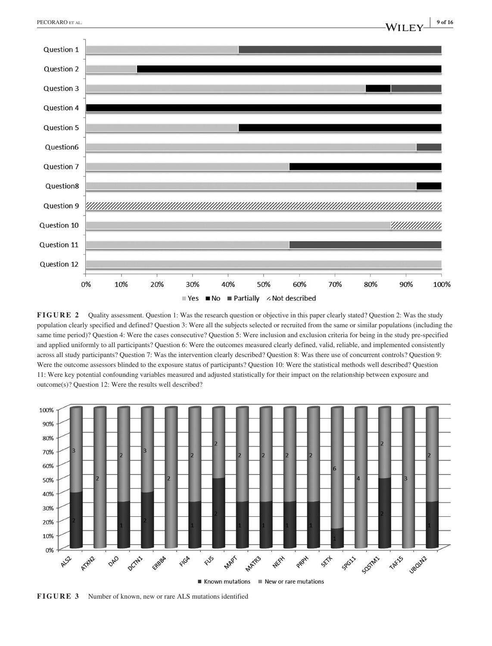

**FIGURE 2** Quality assessment. Question 1: Was the research question or objective in this paper clearly stated? Question 2: Was the study population clearly specified and defined? Question 3: Were all the subjects selected or recruited from the same or similar populations (including the same time period)? Question 4: Were the cases consecutive? Question 5: Were inclusion and exclusion criteria for being in the study pre-specified and applied uniformly to all participants? Question 6: Were the outcomes measured clearly defined, valid, reliable, and implemented consistently across all study participants? Question 7: Was the intervention clearly described? Question 8: Was there use of concurrent controls? Question 9: Were the outcome assessors blinded to the exposure status of participants? Question 10: Were the statistical methods well described? Question 11: Were key potential confounding variables measured and adjusted statistically for their impact on the relationship between exposure and outcome(s)? Question 12: Were the results well described?



**FIGURE 3** Number of known, new or rare ALS mutations identified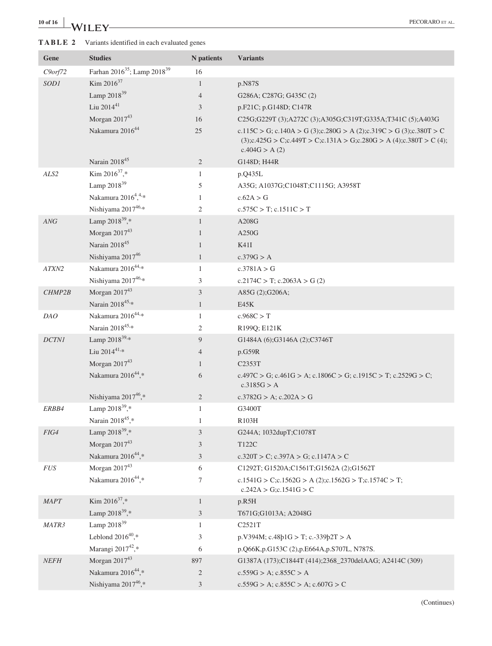# **10 of 16 <sup>|</sup>** PECORARO et al.

## **TABLE 2** Variants identified in each evaluated genes

| Gene          | <b>Studies</b>                                      | N patients     | <b>Variants</b>                                                                                                                                                  |
|---------------|-----------------------------------------------------|----------------|------------------------------------------------------------------------------------------------------------------------------------------------------------------|
| $C9$ orf $72$ | Farhan 2016 <sup>35</sup> ; Lamp 2018 <sup>39</sup> | 16             |                                                                                                                                                                  |
| SOD1          | Kim $2016^{37}$                                     | $\mathbf{1}$   | p.N87S                                                                                                                                                           |
|               | Lamp 2018 <sup>39</sup>                             | $\overline{4}$ | G286A; C287G; G435C (2)                                                                                                                                          |
|               | Liu 2014 <sup>41</sup>                              | 3              | p.F21C; p.G148D; C147R                                                                                                                                           |
|               | Morgan 201743                                       | 16             | C25G;G229T (3);A272C (3);A305G;C319T;G335A;T341C (5);A403G                                                                                                       |
|               | Nakamura 2016 <sup>44</sup>                         | $25\,$         | c.115C > G; c.140A > G (3);c.280G > A (2);c.319C > G (3);c.380T > C<br>$(3); c.425G > C; c.449T > C; c.131A > G; c.280G > A(4); c.380T > C(4);$<br>c.404G > A(2) |
|               | Narain 201845                                       | $\overline{2}$ | G148D; H44R                                                                                                                                                      |
| ALS2          | Kim $2016^{37}$ ,*                                  | $\mathbf{1}$   | p.Q435L                                                                                                                                                          |
|               | Lamp 2018 <sup>39</sup>                             | 5              | A35G; A1037G;C1048T;C1115G; A3958T                                                                                                                               |
|               | Nakamura 2016 <sup>4</sup> , 4, *                   | 1              | c.62A > G                                                                                                                                                        |
|               | Nishiyama 201746,*                                  | 2              | $c.575C > T$ ; $c.1511C > T$                                                                                                                                     |
| ANG           | Lamp $2018^{39}$ ,*                                 | $\mathbf{1}$   | A208G                                                                                                                                                            |
|               | Morgan 201743                                       | $\mathbf{1}$   | A250G                                                                                                                                                            |
|               | Narain 201845                                       | 1              | K41I                                                                                                                                                             |
|               | Nishiyama 2017 <sup>46</sup>                        | $\mathbf{1}$   | c.379G > A                                                                                                                                                       |
| ATXN2         | Nakamura 2016 <sup>44,*</sup>                       | $\mathbf{1}$   | c.3781A > G                                                                                                                                                      |
|               | Nishiyama 201746,*                                  | 3              | $c.2174C > T$ ; $c.2063A > G(2)$                                                                                                                                 |
| CHMP2B        | Morgan $2017^{43}$                                  | 3              | A85G (2);G206A;                                                                                                                                                  |
|               | Narain 201845,*                                     | $\mathbf{1}$   | E45K                                                                                                                                                             |
| DAO           | Nakamura 2016 <sup>44,*</sup>                       | $\mathbf{1}$   | c.968C > T                                                                                                                                                       |
|               | Narain 2018 <sup>45,*</sup>                         | 2              | R199Q; E121K                                                                                                                                                     |
| $DCTNI$       | Lamp 2018 <sup>39,*</sup>                           | 9              | G1484A (6);G3146A (2);C3746T                                                                                                                                     |
|               | Liu 2014 $41$ <sup>*</sup>                          | $\overline{4}$ | p.G59R                                                                                                                                                           |
|               | Morgan $2017^{43}$                                  | 1              | C <sub>2353</sub> T                                                                                                                                              |
|               | Nakamura 2016 <sup>44</sup> ,*                      | 6              | c.497C > G; c.461G > A; c.1806C > G; c.1915C > T; c.2529G > C;<br>c.3185G > A                                                                                    |
|               | Nishiyama 201746,*                                  | $\overline{2}$ | $c.3782G > A$ ; $c.202A > G$                                                                                                                                     |
| ERBB4         | Lamp $2018^{39}$ ,*                                 | $\mathbf{1}$   | G3400T                                                                                                                                                           |
|               | Narain 2018 <sup>45</sup> .*                        | 1              | R <sub>103</sub> H                                                                                                                                               |
| FIG4          | Lamp 2018 <sup>39</sup> ,*                          | 3              | G244A; 1032dupT;C1078T                                                                                                                                           |
|               | Morgan $2017^{43}$                                  | 3              | T122C                                                                                                                                                            |
|               | Nakamura 2016 <sup>44</sup> ,*                      | $\mathfrak{Z}$ | $c.320T > C$ ; $c.397A > G$ ; $c.1147A > C$                                                                                                                      |
| $FUS$         | Morgan $2017^{43}$                                  | 6              | C1292T; G1520A;C1561T;G1562A (2);G1562T                                                                                                                          |
|               | Nakamura 2016 <sup>44</sup> ,*                      | 7              | c.1541G > C;c.1562G > A (2);c.1562G > T;c.1574C > T;<br>$c.242A > G$ ; $c.1541G > C$                                                                             |
| MAPT          | Kim $2016^{37}$ ,*                                  | $\mathbf{1}$   | p.R5H                                                                                                                                                            |
|               | Lamp $2018^{39}$ ,*                                 | $\mathfrak{Z}$ | T671G;G1013A; A2048G                                                                                                                                             |
| MATR3         | Lamp 2018 <sup>39</sup>                             | $\mathbf{1}$   | C2521T                                                                                                                                                           |
|               | Leblond $2016^{40}$ ,*                              | 3              | $p.V394M$ ; c.48 $p1G > T$ ; c.-339 $p2T > A$                                                                                                                    |
|               | Marangi 2017 <sup>42</sup> ,*                       | 6              | p.Q66K,p.G153C (2),p.E664A,p.S707L, N787S.                                                                                                                       |
| <b>NEFH</b>   | Morgan 201743                                       | 897            | G1387A (173);C1844T (414);2368_2370delAAG; A2414C (309)                                                                                                          |
|               | Nakamura 2016 <sup>44</sup> ,*                      | $\mathbf{2}$   | $c.559G > A$ ; $c.855C > A$                                                                                                                                      |
|               | Nishiyama 201746,*                                  | 3              | $c.559G > A$ ; $c.855C > A$ ; $c.607G > C$                                                                                                                       |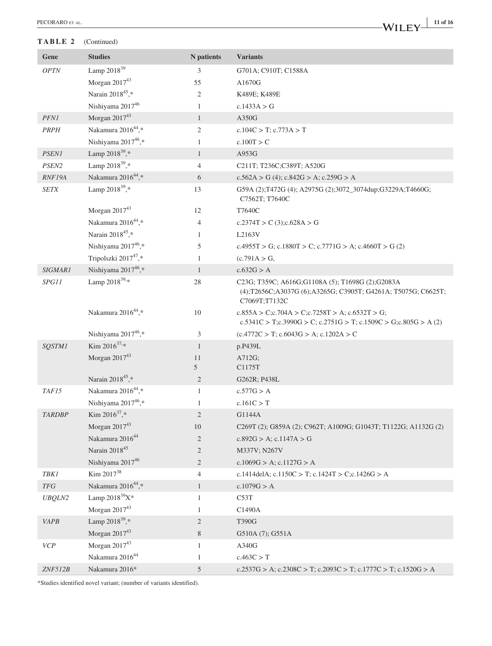#### **TABLE 2** (Continued)

## **|** PECORARO et al. **11 of 16**

| <b>Studies</b><br>N patients<br><b>Variants</b><br>Gene                                                                                                                   |  |
|---------------------------------------------------------------------------------------------------------------------------------------------------------------------------|--|
| Lamp 2018 <sup>39</sup><br>OPTN<br>3<br>G701A; C910T; C1588A                                                                                                              |  |
| Morgan 201743<br>55<br>A1670G                                                                                                                                             |  |
| Narain 2018 <sup>45</sup> ,*<br>2<br>K489E; K489E                                                                                                                         |  |
| Nishiyama 201746<br>c.1433A > G<br>$\mathbf{1}$                                                                                                                           |  |
| Morgan 201743<br>PFNI<br>$\mathbf{1}$<br>A350G                                                                                                                            |  |
| Nakamura 2016 <sup>44</sup> ,*<br><b>PRPH</b><br>$\overline{2}$<br>$c.104C > T$ ; $c.773A > T$                                                                            |  |
| Nishiyama 2017 <sup>46</sup> ,*<br>c.100T > C<br>$\mathbf{1}$                                                                                                             |  |
| Lamp 2018 <sup>39</sup> ,*<br><b>PSEN1</b><br>A953G<br>$\mathbf{1}$                                                                                                       |  |
| Lamp $2018^{39}$ ,*<br>PSEN2<br>4<br>C211T; T236C;C389T; A520G                                                                                                            |  |
| Nakamura 2016 <sup>44</sup> ,*<br>RNF19A<br>6<br>$c.562A > G(4)$ ; $c.842G > A$ ; $c.259G > A$                                                                            |  |
| Lamp $2018^{39}$ ,*<br><b>SETX</b><br>13<br>G59A (2);T472G (4); A2975G (2);3072_3074dup;G3229A;T4660G;<br>C7562T; T7640C                                                  |  |
| Morgan $2017^{43}$<br>12<br>T7640C                                                                                                                                        |  |
| Nakamura 2016 <sup>44</sup> ,*<br>4<br>c.2374T > C $(3); c.628A > G$                                                                                                      |  |
| Narain 2018 <sup>45</sup> ,*<br>L2163V<br>$\mathbf{1}$                                                                                                                    |  |
| Nishiyama 201746,*<br>5<br>c.4955T > G; c.1880T > C; c.7771G > A; c.4660T > G (2)                                                                                         |  |
| Tripolszki 2017 <sup>47</sup> ,*<br>$\mathbf{1}$<br>(c.791A > G,                                                                                                          |  |
| Nishiyama 201746,*<br>$\mathbf{1}$<br>c.632G > A<br><b>SIGMAR1</b>                                                                                                        |  |
| Lamp $2018^{39,*}$<br>SPG11<br>28<br>C23G; T359C; A616G; G1108A (5); T1698G (2); G2083A<br>(4);T2656C;A3037G (6);A3265G; C3905T; G4261A; T5075G; C6625T;<br>C7069T;T7132C |  |
| Nakamura 2016 <sup>44</sup> ,*<br>10<br>$c.855A > C$ ; $c.704A > C$ ; $c.7258T > A$ ; $c.6532T > G$ ;<br>c.5341C > T;c.3990G > C; c.2751G > T; c.1509C > G;c.805G > A (2) |  |
| Nishiyama 201746,*<br>3<br>$(c.4772C > T; c.6043G > A; c.1202A > C$                                                                                                       |  |
| Kim $2016^{37,*}$<br>$\mathbf{1}$<br><b>SOSTM1</b><br>p.P439L                                                                                                             |  |
| Morgan $2017^{43}$<br>A712G;<br>11                                                                                                                                        |  |
| 5<br>C1175T                                                                                                                                                               |  |
| Narain 2018 <sup>45</sup> ,*<br>$\overline{2}$<br>G262R; P438L                                                                                                            |  |
| Nakamura 2016 <sup>44</sup> ,*<br>TAF15<br>$\mathbf{1}$<br>c.577G > A                                                                                                     |  |
| Nishiyama 2017 <sup>46</sup> ,*<br>c.161C > T<br>1                                                                                                                        |  |
| Kim 2016 <sup>37</sup> .*<br>$\overline{2}$<br>G1144A<br><b>TARDBP</b>                                                                                                    |  |
| Morgan $2017^{43}$<br>10<br>C269T (2); G859A (2); C962T; A1009G; G1043T; T1122G; A1132G (2)<br>Nakamura 2016 <sup>44</sup>                                                |  |
| $\overline{c}$<br>$c.892G > A$ ; $c.1147A > G$<br>Narain 2018 <sup>45</sup>                                                                                               |  |
| $\overline{c}$<br>M337V; N267V                                                                                                                                            |  |
| Nishiyama 2017 <sup>46</sup><br>$\overline{c}$<br>c.1069G > A; c.1127G > A<br>Kim 2017 <sup>38</sup>                                                                      |  |
| <b>TBK1</b><br>4<br>c.1414delA; c.1150C > T; c.1424T > C;c.1426G > A<br>Nakamura 2016 <sup>44</sup> ,*                                                                    |  |
| $T\!F\!G$<br>c.1079G > A<br>$\mathbf{1}$<br>Lamp $2018^{39}X^*$                                                                                                           |  |
| <b>UBQLN2</b><br>$\mathbf{1}$<br>C53T<br>Morgan $2017^{43}$                                                                                                               |  |
| C1490A<br>1<br>Lamp 2018 <sup>39</sup> ,*                                                                                                                                 |  |
| <b>VAPB</b><br>$\overline{c}$<br>T390G<br>Morgan $2017^{43}$<br>8                                                                                                         |  |
| G510A (7); G551A<br>Morgan $2017^{43}$<br>VCP<br>A340G<br>1                                                                                                               |  |
| Nakamura 2016 <sup>44</sup><br>c.463C > T<br>$\mathbf{1}$                                                                                                                 |  |
| Nakamura 2016*<br>ZNF512B<br>5<br>c.2537G > A; c.2308C > T; c.2093C > T; c.1777C > T; c.1520G > A                                                                         |  |

\*Studies identified novel variant; (number of variants identified).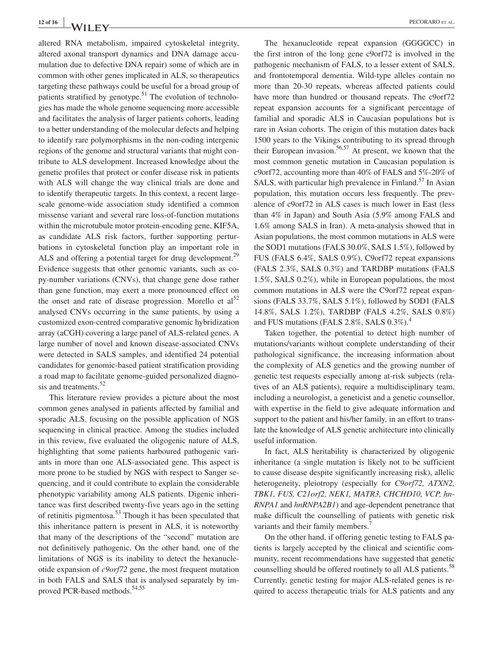altered RNA metabolism, impaired cytoskeletal integrity, altered axonal transport dynamics and DNA damage accumulation due to defective DNA repair) some of which are in common with other genes implicated in ALS, so therapeutics targeting these pathways could be useful for a broad group of patients stratified by genotype.<sup>51</sup> The evolution of technologies has made the whole genome sequencing more accessible and facilitates the analysis of larger patients cohorts, leading to a better understanding of the molecular defects and helping to identify rare polymorphisms in the non-coding intergenic regions of the genome and structural variants that might contribute to ALS development. Increased knowledge about the genetic profiles that protect or confer disease risk in patients with ALS will change the way clinical trials are done and to identify therapeutic targets. In this context, a recent largescale genome-wide association study identified a common missense variant and several rare loss-of-function mutations within the microtubule motor protein-encoding gene, KIF5A, as candidate ALS risk factors, further supporting perturbations in cytoskeletal function play an important role in ALS and offering a potential target for drug development.<sup>29</sup> Evidence suggests that other genomic variants, such as copy-number variations (CNVs), that change gene dose rather than gene function, may exert a more pronounced effect on the onset and rate of disease progression. Morello et  $al^{52}$ analysed CNVs occurring in the same patients, by using a customized exon-centred comparative genomic hybridization array (aCGH) covering a large panel of ALS-related genes. A large number of novel and known disease-associated CNVs were detected in SALS samples, and identified 24 potential candidates for genomic-based patient stratification providing a road map to facilitate genome-guided personalized diagnosis and treatments.<sup>52</sup>

This literature review provides a picture about the most common genes analysed in patients affected by familial and sporadic ALS, focusing on the possible application of NGS sequencing in clinical practice. Among the studies included in this review, five evaluated the oligogenic nature of ALS, highlighting that some patients harboured pathogenic variants in more than one ALS-associated gene. This aspect is more prone to be studied by NGS with respect to Sanger sequencing, and it could contribute to explain the considerable phenotypic variability among ALS patients. Digenic inheritance was first described twenty-five years ago in the setting of retinitis pigmentosa.53 Though it has been speculated that this inheritance pattern is present in ALS, it is noteworthy that many of the descriptions of the "second" mutation are not definitively pathogenic. On the other hand, one of the limitations of NGS is its inability to detect the hexanucleotide expansion of *c9orf72* gene, the most frequent mutation in both FALS and SALS that is analysed separately by improved PCR-based methods.<sup>54,55</sup>

The hexanucleotide repeat expansion (GGGGCC) in the first intron of the long gene c9orf72 is involved in the pathogenic mechanism of FALS, to a lesser extent of SALS, and frontotemporal dementia. Wild-type alleles contain no more than 20-30 repeats, whereas affected patients could have more than hundred or thousand repeats. The c9orf72 repeat expansion accounts for a significant percentage of familial and sporadic ALS in Caucasian populations but is rare in Asian cohorts. The origin of this mutation dates back 1500 years to the Vikings contributing to its spread through their European invasion.<sup>56,57</sup> At present, we known that the most common genetic mutation in Caucasian population is c9orf72, accounting more than 40% of FALS and 5%-20% of SALS, with particular high prevalence in Finland.<sup>57</sup> In Asian population, this mutation occurs less frequently. The prevalence of c9orf72 in ALS cases is much lower in East (less than 4% in Japan) and South Asia (5.9% among FALS and 1.6% among SALS in Iran). A meta-analysis showed that in Asian populations, the most common mutations in ALS were the SOD1 mutations (FALS 30.0%, SALS 1.5%), followed by FUS (FALS 6.4%, SALS 0.9%), C9orf72 repeat expansions (FALS 2.3%, SALS 0.3%) and TARDBP mutations (FALS 1.5%, SALS 0.2%), while in European populations, the most common mutations in ALS were the C9orf72 repeat expansions (FALS 33.7%, SALS 5.1%), followed by SOD1 (FALS 14.8%, SALS 1.2%), TARDBP (FALS 4.2%, SALS 0.8%) and FUS mutations (FALS 2.8%, SALS 0.3%).<sup>4</sup>

Taken together, the potential to detect high number of mutations/variants without complete understanding of their pathological significance, the increasing information about the complexity of ALS genetics and the growing number of genetic test requests especially among at-risk subjects (relatives of an ALS patients), require a multidisciplinary team, including a neurologist, a geneticist and a genetic counsellor, with expertise in the field to give adequate information and support to the patient and his/her family, in an effort to translate the knowledge of ALS genetic architecture into clinically useful information.

In fact, ALS heritability is characterized by oligogenic inheritance (a single mutation is likely not to be sufficient to cause disease despite significantly increasing risk), allelic heterogeneity, pleiotropy (especially for *C9orf72, ATXN2, TBK1, FUS, C21orf2, NEK1, MATR3, CHCHD10, VCP, hn-RNPA1* and *hnRNPA2B1*) and age-dependent penetrance that make difficult the counselling of patients with genetic risk variants and their family members.<sup>7</sup>

On the other hand, if offering genetic testing to FALS patients is largely accepted by the clinical and scientific community, recent recommendations have suggested that genetic counselling should be offered routinely to all ALS patients.<sup>58</sup> Currently, genetic testing for major ALS-related genes is required to access therapeutic trials for ALS patients and any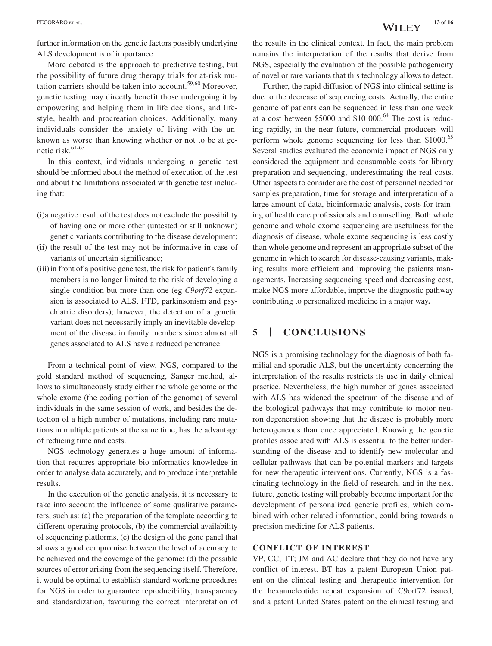further information on the genetic factors possibly underlying ALS development is of importance.

More debated is the approach to predictive testing, but the possibility of future drug therapy trials for at-risk mutation carriers should be taken into account.<sup>59,60</sup> Moreover. genetic testing may directly benefit those undergoing it by empowering and helping them in life decisions, and lifestyle, health and procreation choices. Additionally, many individuals consider the anxiety of living with the unknown as worse than knowing whether or not to be at genetic risk.<sup>61-63</sup>

In this context, individuals undergoing a genetic test should be informed about the method of execution of the test and about the limitations associated with genetic test including that:

- (i)a negative result of the test does not exclude the possibility of having one or more other (untested or still unknown) genetic variants contributing to the disease development;
- (ii) the result of the test may not be informative in case of variants of uncertain significance;
- (iii)in front of a positive gene test, the risk for patient's family members is no longer limited to the risk of developing a single condition but more than one (eg *C9orf72* expansion is associated to ALS, FTD, parkinsonism and psychiatric disorders); however, the detection of a genetic variant does not necessarily imply an inevitable development of the disease in family members since almost all genes associated to ALS have a reduced penetrance.

From a technical point of view, NGS, compared to the gold standard method of sequencing, Sanger method, allows to simultaneously study either the whole genome or the whole exome (the coding portion of the genome) of several individuals in the same session of work, and besides the detection of a high number of mutations, including rare mutations in multiple patients at the same time, has the advantage of reducing time and costs.

NGS technology generates a huge amount of information that requires appropriate bio-informatics knowledge in order to analyse data accurately, and to produce interpretable results.

In the execution of the genetic analysis, it is necessary to take into account the influence of some qualitative parameters, such as: (a) the preparation of the template according to different operating protocols, (b) the commercial availability of sequencing platforms, (c) the design of the gene panel that allows a good compromise between the level of accuracy to be achieved and the coverage of the genome; (d) the possible sources of error arising from the sequencing itself. Therefore, it would be optimal to establish standard working procedures for NGS in order to guarantee reproducibility, transparency and standardization, favouring the correct interpretation of the results in the clinical context. In fact, the main problem remains the interpretation of the results that derive from NGS, especially the evaluation of the possible pathogenicity of novel or rare variants that this technology allows to detect.

Further, the rapid diffusion of NGS into clinical setting is due to the decrease of sequencing costs. Actually, the entire genome of patients can be sequenced in less than one week at a cost between  $$5000$  and  $$10\ 000$ .<sup>64</sup> The cost is reducing rapidly, in the near future, commercial producers will perform whole genome sequencing for less than \$1000.<sup>65</sup> Several studies evaluated the economic impact of NGS only considered the equipment and consumable costs for library preparation and sequencing, underestimating the real costs. Other aspects to consider are the cost of personnel needed for samples preparation, time for storage and interpretation of a large amount of data, bioinformatic analysis, costs for training of health care professionals and counselling. Both whole genome and whole exome sequencing are usefulness for the diagnosis of disease, whole exome sequencing is less costly than whole genome and represent an appropriate subset of the genome in which to search for disease-causing variants, making results more efficient and improving the patients managements. Increasing sequencing speed and decreasing cost, make NGS more affordable, improve the diagnostic pathway contributing to personalized medicine in a major way*.*

## **5** | **CONCLUSIONS**

NGS is a promising technology for the diagnosis of both familial and sporadic ALS, but the uncertainty concerning the interpretation of the results restricts its use in daily clinical practice. Nevertheless, the high number of genes associated with ALS has widened the spectrum of the disease and of the biological pathways that may contribute to motor neuron degeneration showing that the disease is probably more heterogeneous than once appreciated. Knowing the genetic profiles associated with ALS is essential to the better understanding of the disease and to identify new molecular and cellular pathways that can be potential markers and targets for new therapeutic interventions. Currently, NGS is a fascinating technology in the field of research, and in the next future, genetic testing will probably become important for the development of personalized genetic profiles, which combined with other related information, could bring towards a precision medicine for ALS patients.

#### **CONFLICT OF INTEREST**

VP, CC; TT; JM and AC declare that they do not have any conflict of interest. BT has a patent European Union patent on the clinical testing and therapeutic intervention for the hexanucleotide repeat expansion of C9orf72 issued, and a patent United States patent on the clinical testing and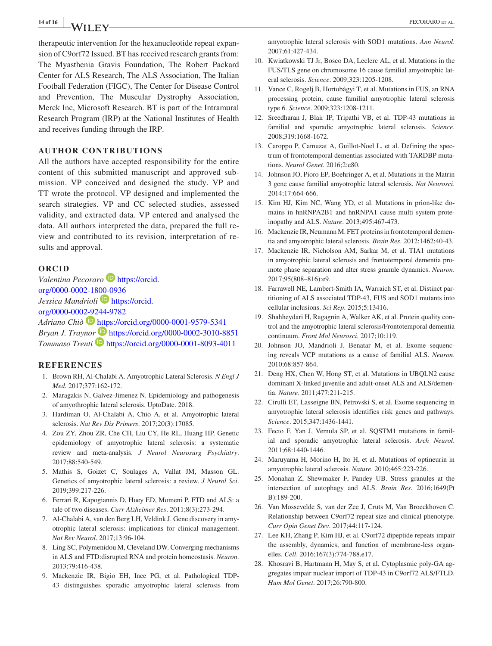# **14 of 16 <sup>|</sup>** PECORARO et al.

therapeutic intervention for the hexanucleotide repeat expansion of C9orf72 Issued. BT has received research grants from: The Myasthenia Gravis Foundation, The Robert Packard Center for ALS Research, The ALS Association, The Italian Football Federation (FIGC), The Center for Disease Control and Prevention, The Muscular Dystrophy Association, Merck Inc, Microsoft Research. BT is part of the Intramural Research Program (IRP) at the National Institutes of Health and receives funding through the IRP.

#### **AUTHOR CONTRIBUTIONS**

All the authors have accepted responsibility for the entire content of this submitted manuscript and approved submission. VP conceived and designed the study. VP and TT wrote the protocol. VP designed and implemented the search strategies. VP and CC selected studies, assessed validity, and extracted data. VP entered and analysed the data. All authors interpreted the data, prepared the full review and contributed to its revision, interpretation of results and approval.

#### **ORCID**

*Valentina Pecoraro* **[https://orcid.](https://orcid.org/0000-0002-1800-0936)** [org/0000-0002-1800-0936](https://orcid.org/0000-0002-1800-0936) *Jessica Mandrioli* [https://orcid.](https://orcid.org/0000-0002-9244-9782) [org/0000-0002-9244-9782](https://orcid.org/0000-0002-9244-9782) *Adriano Chiò* <https://orcid.org/0000-0001-9579-5341> *Bryan J. Trayno[r](https://orcid.org/0000-0001-8093-4011)* <https://orcid.org/0000-0002-3010-8851> *Tommaso Trenti* <https://orcid.org/0000-0001-8093-4011>

#### **REFERENCES**

- 1. Brown RH, Al-Chalabi A. Amyotrophic Lateral Sclerosis. *N Engl J Med*. 2017;377:162-172.
- 2. Maragakis N, Galvez-Jimenez N. Epidemiology and pathogenesis of amyothrophic lateral sclerosis. UptoDate. 2018.
- 3. Hardiman O, Al-Chalabi A, Chio A, et al. Amyotrophic lateral sclerosis. *Nat Rev Dis Primers*. 2017;20(3):17085.
- 4. Zou ZY, Zhou ZR, Che CH, Liu CY, He RL, Huang HP. Genetic epidemiology of amyotrophic lateral sclerosis: a systematic review and meta-analysis. *J Neurol Neurosurg Psychiatry*. 2017;88:540-549.
- 5. Mathis S, Goizet C, Soulages A, Vallat JM, Masson GL. Genetics of amyotrophic lateral sclerosis: a review. *J Neurol Sci*. 2019;399:217-226.
- 6. Ferrari R, Kapogiannis D, Huey ED, Momeni P. FTD and ALS: a tale of two diseases. *Curr Alzheimer Res*. 2011;8(3):273-294.
- 7. Al-Chalabi A, van den Berg LH, Veldink J. Gene discovery in amyotrophic lateral sclerosis: implications for clinical management. *Nat Rev Neurol*. 2017;13:96-104.
- 8. Ling SC, Polymenidou M, Cleveland DW. Converging mechanisms in ALS and FTD:disrupted RNA and protein homeostasis. *Neuron*. 2013;79:416-438.
- 9. Mackenzie IR, Bigio EH, Ince PG, et al. Pathological TDP-43 distinguishes sporadic amyotrophic lateral sclerosis from

amyotrophic lateral sclerosis with SOD1 mutations. *Ann Neurol*. 2007;61:427-434.

- 10. Kwiatkowski TJ Jr, Bosco DA, Leclerc AL, et al. Mutations in the FUS/TLS gene on chromosome 16 cause familial amyotrophic lateral sclerosis. *Science*. 2009;323:1205-1208.
- 11. Vance C, Rogelj B, Hortobágyi T, et al. Mutations in FUS, an RNA processing protein, cause familial amyotrophic lateral sclerosis type 6. *Science*. 2009;323:1208-1211.
- 12. Sreedharan J, Blair IP, Tripathi VB, et al. TDP-43 mutations in familial and sporadic amyotrophic lateral sclerosis. *Science*. 2008;319:1668-1672.
- 13. Caroppo P, Camuzat A, Guillot-Noel L, et al. Defining the spectrum of frontotemporal dementias associated with TARDBP mutations. *Neurol Genet*. 2016;2:e80.
- 14. Johnson JO, Pioro EP, Boehringer A, et al. Mutations in the Matrin 3 gene cause familial amyotrophic lateral sclerosis. *Nat Neurosci*. 2014;17:664-666.
- 15. Kim HJ, Kim NC, Wang YD, et al. Mutations in prion-like domains in hnRNPA2B1 and hnRNPA1 cause multi system proteinopathy and ALS. *Nature*. 2013;495:467-473.
- 16. Mackenzie IR, Neumann M. FET proteins in frontotemporal dementia and amyotrophic lateral sclerosis. *Brain Res*. 2012;1462:40-43.
- 17. Mackenzie IR, Nicholson AM, Sarkar M, et al. TIA1 mutations in amyotrophic lateral sclerosis and frontotemporal dementia promote phase separation and alter stress granule dynamics. *Neuron*. 2017;95(808–816):e9.
- 18. Farrawell NE, Lambert-Smith IA, Warraich ST, et al. Distinct partitioning of ALS associated TDP-43, FUS and SOD1 mutants into cellular inclusions. *Sci Rep*. 2015;5:13416.
- 19. Shahheydari H, Ragagnin A, Walker AK, et al. Protein quality control and the amyotrophic lateral sclerosis/Frontotemporal dementia continuum. *Front Mol Neurosci*. 2017;10:119.
- 20. Johnson JO, Mandrioli J, Benatar M, et al. Exome sequencing reveals VCP mutations as a cause of familial ALS. *Neuron*. 2010;68:857-864.
- 21. Deng HX, Chen W, Hong ST, et al. Mutations in UBQLN2 cause dominant X-linked juvenile and adult-onset ALS and ALS/dementia. *Nature*. 2011;477:211-215.
- 22. Cirulli ET, Lasseigne BN, Petrovski S, et al. Exome sequencing in amyotrophic lateral sclerosis identifies risk genes and pathways. *Science*. 2015;347:1436-1441.
- 23. Fecto F, Yan J, Vemula SP, et al. SQSTM1 mutations in familial and sporadic amyotrophic lateral sclerosis. *Arch Neurol*. 2011;68:1440-1446.
- 24. Maruyama H, Morino H, Ito H, et al. Mutations of optineurin in amyotrophic lateral sclerosis. *Nature*. 2010;465:223-226.
- 25. Monahan Z, Shewmaker F, Pandey UB. Stress granules at the intersection of autophagy and ALS. *Brain Res*. 2016;1649(Pt B):189-200.
- 26. Van Mossevelde S, van der Zee J, Cruts M, Van Broeckhoven C. Relationship between C9orf72 repeat size and clinical phenotype. *Curr Opin Genet Dev*. 2017;44:117-124.
- 27. Lee KH, Zhang P, Kim HJ, et al. C9orf72 dipeptide repeats impair the assembly, dynamics, and function of membrane-less organelles. *Cell*. 2016;167(3):774-788.e17.
- 28. Khosravi B, Hartmann H, May S, et al. Cytoplasmic poly-GA aggregates impair nuclear import of TDP-43 in C9orf72 ALS/FTLD. *Hum Mol Genet*. 2017;26:790-800.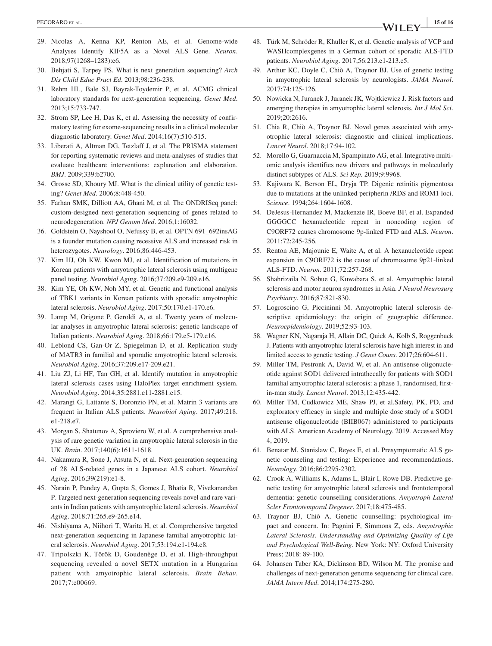- 29. Nicolas A, Kenna KP, Renton AE, et al. Genome-wide Analyses Identify KIF5A as a Novel ALS Gene. *Neuron*. 2018;97(1268–1283):e6.
- 30. Behjati S, Tarpey PS. What is next generation sequencing? *Arch Dis Child Educ Pract Ed*. 2013;98:236-238.
- 31. Rehm HL, Bale SJ, Bayrak-Toydemir P, et al. ACMG clinical laboratory standards for next-generation sequencing. *Genet Med*. 2013;15:733-747.
- 32. Strom SP, Lee H, Das K, et al. Assessing the necessity of confirmatory testing for exome-sequencing results in a clinical molecular diagnostic laboratory. *Genet Med*. 2014;16(7):510-515.
- 33. Liberati A, Altman DG, Tetzlaff J, et al. The PRISMA statement for reporting systematic reviews and meta-analyses of studies that evaluate healthcare interventions: explanation and elaboration. *BMJ*. 2009;339:b2700.
- 34. Grosse SD, Khoury MJ. What is the clinical utility of genetic testing? *Genet Med*. 2006;8:448-450.
- 35. Farhan SMK, Dilliott AA, Ghani M, et al. The ONDRISeq panel: custom-designed next-generation sequencing of genes related to neurodegeneration. *NPJ Genom Med*. 2016;1:16032.
- 36. Goldstein O, Nayshool O, Nefussy B, et al. OPTN 691\_692insAG is a founder mutation causing recessive ALS and increased risk in heterozygotes. *Neurology*. 2016;86:446-453.
- 37. Kim HJ, Oh KW, Kwon MJ, et al. Identification of mutations in Korean patients with amyotrophic lateral sclerosis using multigene panel testing. *Neurobiol Aging*. 2016;37:209.e9-209.e16.
- 38. Kim YE, Oh KW, Noh MY, et al. Genetic and functional analysis of TBK1 variants in Korean patients with sporadic amyotrophic lateral sclerosis. *Neurobiol Aging*. 2017;50:170.e1-170.e6.
- 39. Lamp M, Origone P, Geroldi A, et al. Twenty years of molecular analyses in amyotrophic lateral sclerosis: genetic landscape of Italian patients. *Neurobiol Aging*. 2018;66:179.e5-179.e16.
- 40. Leblond CS, Gan-Or Z, Spiegelman D, et al. Replication study of MATR3 in familial and sporadic amyotrophic lateral sclerosis. *Neurobiol Aging*. 2016;37:209.e17-209.e21.
- 41. Liu ZJ, Li HF, Tan GH, et al. Identify mutation in amyotrophic lateral sclerosis cases using HaloPlex target enrichment system. *Neurobiol Aging*. 2014;35:2881.e11-2881.e15.
- 42. Marangi G, Lattante S, Doronzio PN, et al. Matrin 3 variants are frequent in Italian ALS patients. *Neurobiol Aging*. 2017;49:218. e1-218.e7.
- 43. Morgan S, Shatunov A, Sproviero W, et al. A comprehensive analysis of rare genetic variation in amyotrophic lateral sclerosis in the UK. *Brain*. 2017;140(6):1611-1618.
- 44. Nakamura R, Sone J, Atsuta N, et al. Next-generation sequencing of 28 ALS-related genes in a Japanese ALS cohort. *Neurobiol Aging*. 2016;39(219):e1-8.
- 45. Narain P, Pandey A, Gupta S, Gomes J, Bhatia R, Vivekanandan P. Targeted next-generation sequencing reveals novel and rare variants in Indian patients with amyotrophic lateral sclerosis. *Neurobiol Aging*. 2018;71:265.e9-265.e14.
- 46. Nishiyama A, Niihori T, Warita H, et al. Comprehensive targeted next-generation sequencing in Japanese familial amyotrophic lateral sclerosis. *Neurobiol Aging*. 2017;53:194.e1-194.e8.
- 47. Tripolszki K, Török D, Goudenège D, et al. High-throughput sequencing revealed a novel SETX mutation in a Hungarian patient with amyotrophic lateral sclerosis. *Brain Behav*. 2017;7:e00669.
- 48. Türk M, Schröder R, Khuller K, et al. Genetic analysis of VCP and WASHcomplexgenes in a German cohort of sporadic ALS-FTD patients. *Neurobiol Aging*. 2017;56:213.e1-213.e5.
- 49. Arthur KC, Doyle C, Chiò A, Traynor BJ. Use of genetic testing in amyotrophic lateral sclerosis by neurologists. *JAMA Neurol*. 2017;74:125-126.
- 50. Nowicka N, Juranek J, Juranek JK, Wojtkiewicz J. Risk factors and emerging therapies in amyotrophic lateral sclerosis. *Int J Mol Sci*. 2019;20:2616.
- 51. Chia R, Chiò A, Traynor BJ. Novel genes associated with amyotrophic lateral sclerosis: diagnostic and clinical implications. *Lancet Neurol*. 2018;17:94-102.
- 52. Morello G, Guarnaccia M, Spampinato AG, et al. Integrative multiomic analysis identifies new drivers and pathways in molecularly distinct subtypes of ALS. *Sci Rep*. 2019;9:9968.
- 53. Kajiwara K, Berson EL, Dryja TP. Digenic retinitis pigmentosa due to mutations at the unlinked peripherin /RDS and ROM1 loci. *Science*. 1994;264:1604-1608.
- 54. DeJesus-Hernandez M, Mackenzie IR, Boeve BF, et al. Expanded GGGGCC hexanucleotide repeat in noncoding region of C9ORF72 causes chromosome 9p-linked FTD and ALS. *Neuron*. 2011;72:245-256.
- 55. Renton AE, Majounie E, Waite A, et al. A hexanucleotide repeat expansion in C9ORF72 is the cause of chromosome 9p21-linked ALS-FTD. *Neuron*. 2011;72:257-268.
- 56. Shahrizaila N, Sobue G, Kuwabara S, et al. Amyotrophic lateral sclerosis and motor neuron syndromes in Asia. *J Neurol Neurosurg Psychiatry*. 2016;87:821-830.
- 57. Logroscino G, Piccininni M. Amyotrophic lateral sclerosis descriptive epidemiology: the origin of geographic difference. *Neuroepidemiology*. 2019;52:93-103.
- 58. Wagner KN, Nagaraja H, Allain DC, Quick A, Kolb S, Roggenbuck J. Patients with amyotrophic lateral sclerosis have high interest in and limited access to genetic testing. *J Genet Couns*. 2017;26:604-611.
- 59. Miller TM, Pestronk A, David W, et al. An antisense oligonucleotide against SOD1 delivered intrathecally for patients with SOD1 familial amyotrophic lateral sclerosis: a phase 1, randomised, firstin-man study. *Lancet Neurol*. 2013;12:435-442.
- 60. Miller TM, Cudkowicz ME, Shaw PJ, et al.Safety, PK, PD, and exploratory efficacy in single and multiple dose study of a SOD1 antisense oligonucleotide (BIIB067) administered to participants with ALS. American Academy of Neurology. 2019. Accessed May 4, 2019.
- 61. Benatar M, Stanislaw C, Reyes E, et al. Presymptomatic ALS genetic counseling and testing: Experience and recommendations. *Neurology*. 2016;86:2295-2302.
- 62. Crook A, Williams K, Adams L, Blair I, Rowe DB. Predictive genetic testing for amyotrophic lateral sclerosis and frontotemporal dementia: genetic counselling considerations. *Amyotroph Lateral Scler Frontotemporal Degener*. 2017;18:475-485.
- 63. Traynor BJ, Chiò A. Genetic counselling: psychological impact and concern. In: Pagnini F, Simmons Z, eds. *Amyotrophic Lateral Sclerosis. Understanding and Optimizing Quality of Life and Psychological Well-Being*. New York: NY: Oxford University Press; 2018: 89-100.
- 64. Johansen Taber KA, Dickinson BD, Wilson M. The promise and challenges of next-generation genome sequencing for clinical care. *JAMA Intern Med*. 2014;174:275-280.